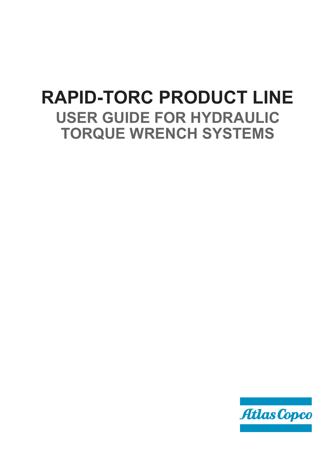# **RAPID-TORC PRODUCT LINE USER GUIDE FOR HYDRAULIC TORQUE WRENCH SYSTEMS**

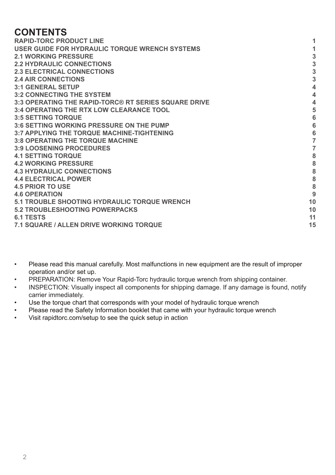# **CONTENTS**

| <b>RAPID-TORC PRODUCT LINE</b>                       |                 |
|------------------------------------------------------|-----------------|
| USER GUIDE FOR HYDRAULIC TORQUE WRENCH SYSTEMS       |                 |
| <b>2.1 WORKING PRESSURE</b>                          | 3               |
| <b>2.2 HYDRAULIC CONNECTIONS</b>                     | 3               |
| <b>2.3 ELECTRICAL CONNECTIONS</b>                    | 3               |
| <b>2.4 AIR CONNECTIONS</b>                           | $\overline{3}$  |
| <b>3:1 GENERAL SETUP</b>                             | $\overline{4}$  |
| <b>3:2 CONNECTING THE SYSTEM</b>                     | $\overline{4}$  |
| 3:3 OPERATING THE RAPID-TORC® RT SERIES SQUARE DRIVE | 4               |
| <b>3:4 OPERATING THE RTX LOW CLEARANCE TOOL</b>      | 5               |
| <b>3:5 SETTING TORQUE</b>                            | $6\phantom{1}6$ |
| 3:6 SETTING WORKING PRESSURE ON THE PUMP             | $6\phantom{1}6$ |
| <b>3:7 APPLYING THE TORQUE MACHINE-TIGHTENING</b>    | 6               |
| <b>3:8 OPERATING THE TORQUE MACHINE</b>              | $\overline{7}$  |
| <b>3:9 LOOSENING PROCEDURES</b>                      | $\overline{7}$  |
| <b>4.1 SETTING TORQUE</b>                            | 8               |
| <b>4.2 WORKING PRESSURE</b>                          | 8               |
| <b>4.3 HYDRAULIC CONNECTIONS</b>                     | 8               |
| <b>4.4 ELECTRICAL POWER</b>                          | 8               |
| <b>4.5 PRIOR TO USE</b>                              | 8               |
| <b>4.6 OPERATION</b>                                 | 9               |
| <b>5.1 TROUBLE SHOOTING HYDRAULIC TORQUE WRENCH</b>  | 10              |
| <b>5.2 TROUBLESHOOTING POWERPACKS</b>                | 10              |
| <b>6.1 TESTS</b>                                     | 11              |
| <b>7.1 SQUARE / ALLEN DRIVE WORKING TORQUE</b>       | 15              |
|                                                      |                 |

- • Please read this manual carefully. Most malfunctions in new equipment are the result of improper operation and/or set up.
- PREPARATION: Remove Your Rapid-Torc hydraulic torque wrench from shipping container.
- • INSPECTION: Visually inspect all components for shipping damage. If any damage is found, notify carrier immediately.
- Use the torque chart that corresponds with your model of hydraulic torque wrench
- Please read the Safety Information booklet that came with your hydraulic torque wrench<br>• Visit rapidtors com/sotup to soo the quick sotup in action
- Visit rapidtorc.com/setup to see the quick setup in action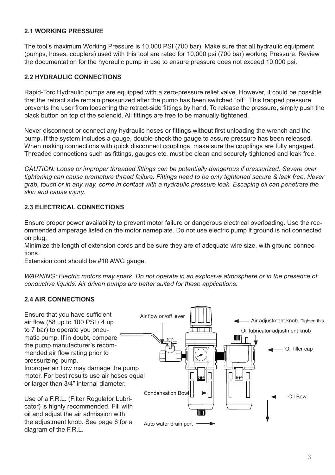#### **2.1 WORKING PRESSURE**

The tool's maximum Working Pressure is 10,000 PSI (700 bar). Make sure that all hydraulic equipment (pumps, hoses, couplers) used with this tool are rated for 10,000 psi (700 bar) working Pressure. Review the documentation for the hydraulic pump in use to ensure pressure does not exceed 10,000 psi.

#### **2.2 HYDRAULIC CONNECTIONS**

Rapid-Torc Hydraulic pumps are equipped with a zero-pressure relief valve. However, it could be possible that the retract side remain pressurized after the pump has been switched "off". This trapped pressure prevents the user from loosening the retract-side fittings by hand. To release the pressure, simply push the black button on top of the solenoid. All fittings are free to be manually tightened.

Never disconnect or connect any hydraulic hoses or fittings without first unloading the wrench and the pump. If the system includes a gauge, double check the gauge to assure pressure has been released. When making connections with quick disconnect couplings, make sure the couplings are fully engaged. Threaded connections such as fittings, gauges etc. must be clean and securely tightened and leak free.

*CAUTION: Loose or improper threaded fittings can be potentially dangerous if pressurized. Severe over tightening can cause premature thread failure. Fittings need to be only tightened secure & leak free. Never grab, touch or in any way, come in contact with a hydraulic pressure leak. Escaping oil can penetrate the skin and cause injury.*

# **2.3 ELECTRICAL CONNECTIONS**

Ensure proper power availability to prevent motor failure or dangerous electrical overloading. Use the recommended amperage listed on the motor nameplate. Do not use electric pump if ground is not connected on plug.

Minimize the length of extension cords and be sure they are of adequate wire size, with ground connections.

Extension cord should be #10 AWG gauge.

*WARNING: Electric motors may spark. Do not operate in an explosive atmosphere or in the presence of conductive liquids. Air driven pumps are better suited for these applications.*

# **2.4 AIR CONNECTIONS**

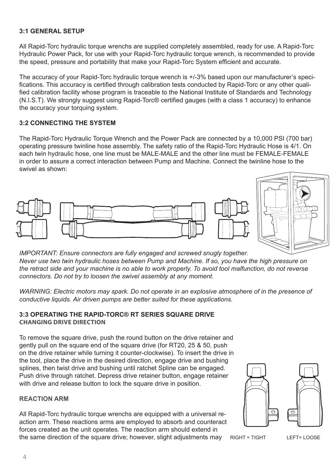## **3:1 GENERAL SETUP**

All Rapid-Torc hydraulic torque wrenchs are supplied completely assembled, ready for use. A Rapid-Torc Hydraulic Power Pack, for use with your Rapid-Torc hydraulic torque wrench, is recommended to provide the speed, pressure and portability that make your Rapid-Torc System efficient and accurate.

The accuracy of your Rapid-Torc hydraulic torque wrench is +/-3% based upon our manufacturer's specifications. This accuracy is certified through calibration tests conducted by Rapid-Torc or any other qualified calibration facility whose program is traceable to the National Institute of Standards and Technology (N.I.S.T). We strongly suggest using Rapid-Torc® certified gauges (with a class 1 accuracy) to enhance the accuracy your torquing system.

#### **3:2 CONNECTING THE SYSTEM**

The Rapid-Torc Hydraulic Torque Wrench and the Power Pack are connected by a 10,000 PSI (700 bar) operating pressure twinline hose assembly. The safety ratio of the Rapid-Torc Hydraulic Hose is 4/1. On each twin hydraulic hose, one line must be MALE-MALE and the other line must be FEMALE-FEMALE in order to assure a correct interaction between Pump and Machine. Connect the twinline hose to the swivel as shown:





*IMPORTANT: Ensure connectors are fully engaged and screwed snugly together. Never use two twin hydraulic hoses between Pump and Machine. If so, you have the high pressure on the retract side and your machine is no able to work properly. To avoid tool malfunction, do not reverse connectors. Do not try to loosen the swivel assembly at any moment.*

*WARNING: Electric motors may spark. Do not operate in an explosive atmosphere of in the presence of conductive liquids. Air driven pumps are better suited for these applications.*

#### **3:3 OPERATING THE RAPID-TORC® RT SERIES SQUARE DRIVE CHANGING DRIVE DIRECTION**

To remove the square drive, push the round button on the drive retainer and gently pull on the square end of the square drive (for RT20, 25 & 50, push on the drive retainer while turning it counter-clockwise). To insert the drive in the tool, place the drive in the desired direction, engage drive and bushing splines, then twist drive and bushing until ratchet Spline can be engaged. Push drive through ratchet. Depress drive retainer button, engage retainer with drive and release button to lock the square drive in position.

#### **REACTION ARM**

All Rapid-Torc hydraulic torque wrenchs are equipped with a universal reaction arm. These reactions arms are employed to absorb and counteract forces created as the unit operates. The reaction arm should extend in the same direction of the square drive; however, slight adjustments may RIGHT = TIGHT LEFT= LOOSE

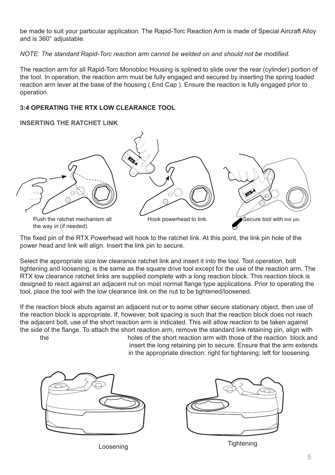be made to suit your particular application. The Rapid-Torc Reaction Arm is made of Special Aircraft Alloy and is 360° adjustable.

*NOTE: The standard Rapid-Torc reaction arm cannot be welded on and should not be modified.*

The reaction arm for all Rapid-Torc Monobloc Housing is splined to slide over the rear (cylinder) portion of the tool. In operation, the reaction arm must be fully engaged and secured by inserting the spring loaded reaction arm lever at the base of the housing ( End Cap ). Ensure the reaction is fully engaged prior to operation.

#### **3:4 OPERATING THE RTX LOW CLEARANCE TOOL**

#### **INSERTING THE RATCHET LINK**



The fixed pin of the RTX Powerhead will hook to the ratchet link. At this point, the link pin hole of the power head and link will align. Insert the link pin to secure.

Select the appropriate size low clearance ratchet link and insert it into the tool. Tool operation, bolt tightening and loosening, is the same as the square drive tool except for the use of the reaction arm. The RTX low clearance ratchet links are supplied complete with a long reaction block. This reaction block is designed to react against an adjacent nut on most normal flange type applications. Prior to operating the tool, place the tool with the low clearance link on the nut to be tightened/loosened.

If the reaction block abuts against an adjacent nut or to some other secure stationary object, then use of the reaction block is appropriate. If, however, bolt spacing is such that the reaction block does not reach the adjacent bolt, use of the short reaction arm is indicated. This will allow reaction to be taken against the side of the flange. To attach the short reaction arm, remove the standard link retaining pin, align with<br>holes of the short reaction arm with those of the reaction, block an holes of the short reaction arm with those of the reaction block and

insert the long retaining pin to secure. Ensure that the arm extends in the appropriate direction: right for tightening; left for loosening.



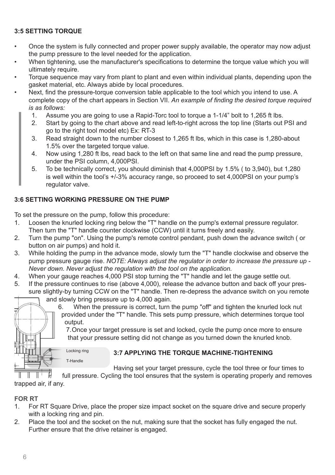# **3:5 SETTING TORQUE**

- Once the system is fully connected and proper power supply available, the operator may now adjust the pump pressure to the level needed for the application.
- When tightening, use the manufacturer's specifications to determine the torque value which you will ultimately require.
- Torque sequence may vary from plant to plant and even within individual plants, depending upon the gasket material, etc. Always abide by local procedures.
- Next, find the pressure-torque conversion table applicable to the tool which you intend to use. A complete copy of the chart appears in Section VII. *An example of finding the desired torque required is as follows:*
	- 1. Assume you are going to use a Rapid-Torc tool to torque a 1-1/4" bolt to 1,265 ft lbs.<br>2. Start by going to the chart above and read left-to-right across the top line (Starts out
	- Start by going to the chart above and read left-to-right across the top line (Starts out PSI and go to the right tool model etc) Ex: RT-3
	- 3. Read straight down to the number closest to 1,265 ft lbs, which in this case is 1,280-about 1.5% over the targeted torque value.
	- 4. Now using 1,280 ft lbs, read back to the left on that same line and read the pump pressure, under the PSI column, 4,000PSI.
	- 5. To be technically correct, you should diminish that 4,000PSI by 1.5% ( to 3,940), but 1,280 is well within the tool's +/-3% accuracy range, so proceed to set 4,000PSI on your pump's regulator valve.

# **3:6 SETTING WORKING PRESSURE ON THE PUMP**

To set the pressure on the pump, follow this procedure:<br>1. Loosen the knurled locking ring below the "T" hand

Locking ring T-Handle

- Loosen the knurled locking ring below the "T" handle on the pump's external pressure regulator. Then turn the "T" handle counter clockwise (CCW) until it turns freely and easily.
- 2. Turn the pump "on". Using the pump's remote control pendant, push down the advance switch (or button on air pumps) and hold it.
- 3. While holding the pump in the advance mode, slowly turn the "T" handle clockwise and observe the pump pressure gauge rise. *NOTE: Always adjust the regulator in order to increase the pressure up - Never down. Never adjust the regulation with the tool on the application.*
- 4. When your gauge reaches 4,000 PSI stop turning the "T" handle and let the gauge settle out.<br>5. If the pressure continues to rise (above 4,000), release the advance button and back off your.
- If the pressure continues to rise (above 4,000), release the advance button and back off your pressure slightly-by turning CCW on the "T" handle. Then re-depress the advance switch on you remote and slowly bring pressure up to 4,000 again.



6. When the pressure is correct, turn the pump "off" and tighten the knurled lock nut provided under the "T" handle. This sets pump pressure, which determines torque tool output.

7. Once your target pressure is set and locked, cycle the pump once more to ensure that your pressure setting did not change as you turned down the knurled knob.

**3:7 APPLYING THE TORQUE MACHINE-TIGHTENING**

Having set your target pressure, cycle the tool three or four times to

full pressure. Cycling the tool ensures that the system is operating properly and removes trapped air, if any.

# **FOR RT**

- 1. For RT Square Drive, place the proper size impact socket on the square drive and secure properly with a locking ring and pin.
- 2. Place the tool and the socket on the nut, making sure that the socket has fully engaged the nut. Further ensure that the drive retainer is engaged.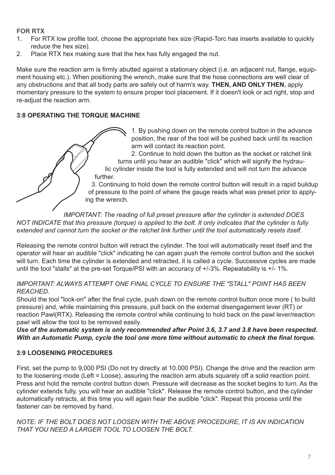# **FOR RTX**

- 1. For RTX low profile tool, choose the appropriate hex size (Rapid-Torc has inserts available to quickly reduce the hex size).
- 2. Place RTX hex making sure that the hex has fully engaged the nut.

Make sure the reaction arm is firmly abutted against a stationary object (i.e. an adjacent nut, flange, equipment housing etc.). When positioning the wrench, make sure that the hose connections are well clear of any obstructions and that all body parts are safely out of harm's way. **THEN, AND ONLY THEN**, apply momentary pressure to the system to ensure proper tool placement. If it doesn't look or act right, stop and re-adjust the reaction arm.

# **3:8 OPERATING THE TORQUE MACHINE**

1. By pushing down on the remote control button in the advance position, the rear of the tool will be pushed back until its reaction arm will contact its reaction point.

2. Continue to hold down the button as the socket or ratchet link turns until you hear an audible "click" which will signify the hydraulic cylinder inside the tool is fully extended and will not turn the advance further.

3. Continuing to hold down the remote control button will result in a rapid buildup of pressure to the point of where the gauge reads what was preset prior to applying the wrench.

*IMPORTANT: The reading of full preset pressure after the cylinder is extended DOES NOT INDICATE that this pressure (torque) is applied to the bolt. It only indicates that the cylinder is fully extended and cannot turn the socket or the ratchet link further until the tool automatically resets itself.*

Releasing the remote control button will retract the cylinder. The tool will automatically reset itself and the operator will hear an audible "click" indicating he can again push the remote control button and the socket will turn. Each time the cylinder is extended and retracted, it is called a cycle. Successive cycles are made until the tool "stalls" at the pre-set Torque/PSI with an accuracy of +/-3%. Repeatability is +/- 1%.

#### *IMPORTANT: ALWAYS ATTEMPT ONE FINAL CYCLE TO ENSURE THE "STALL" POINT HAS BEEN REACHED.*

Should the tool "lock-on" after the final cycle, push down on the remote control button once more ( to build pressure) and, while maintaining this pressure, pull back on the external disengagement lever (RT) or reaction Pawl(RTX). Releasing the remote control while continuing to hold back on the pawl lever/reaction pawl will allow the tool to be removed easily.

*Use of the automatic system is only recommended after Point 3.6, 3.7 and 3.8 have been respected. With an Automatic Pump, cycle the tool one more time without automatic to check the final torque.*

# **3:9 LOOSENING PROCEDURES**

First, set the pump to 9,000 PSI (Do not try directly at 10.000 PSI). Change the drive and the reaction arm to the loosening mode (Left = Loose), assuring the reaction arm abuts squarely off a solid reaction point. Press and hold the remote control button down. Pressure will decrease as the socket begins to turn. As the cylinder extends fully, you will hear an audible "click". Release the remote control button, and the cylinder automatically retracts, at this time you will again hear the audible "click". Repeat this process until the fastener can be removed by hand.

*NOTE: IF THE BOLT DOES NOT LOOSEN WITH THE ABOVE PROCEDURE, IT IS AN INDICATION THAT YOU NEED A LARGER TOOL TO LOOSEN THE BOLT.*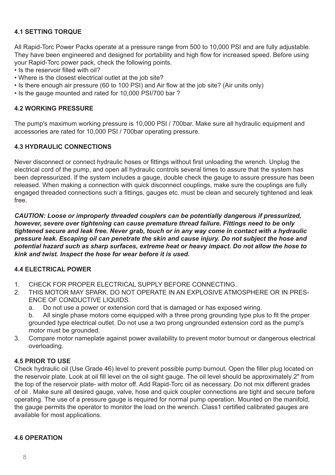# **4.1 SETTING TORQUE**

All Rapid-Torc Power Packs operate at a pressure range from 500 to 10,000 PSI and are fully adjustable. They have been engineered and designed for portability and high flow for increased speed. Before using your Rapid-Torc power pack, check the following points.

- Is the reservoir filled with oil?
- Where is the closest electrical outlet at the job site?
- Is there enough air pressure (60 to 100 PSI) and Air flow at the job site? (Air units only)
- Is the gauge mounted and rated for 10,000 PSI/700 bar ?

#### **4.2 WORKING PRESSURE**

The pump's maximum working pressure is 10,000 PSI / 700bar. Make sure all hydraulic equipment and accessories are rated for 10,000 PSI / 700bar operating pressure.

#### **4.3 HYDRAULIC CONNECTIONS**

Never disconnect or connect hydraulic hoses or fittings without first unloading the wrench. Unplug the electrical cord of the pump, and open all hydraulic controls several times to assure that the system has been depressurized. If the system includes a gauge, double check the gauge to assure pressure has been released. When making a connection with quick disconnect couplings, make sure the couplings are fully engaged threaded connections such a fittings, gauges etc. must be clean and securely tightened and leak free.

*CAUTION: Loose or improperly threaded couplers can be potentially dangerous if pressurized, however, severe over tightening can cause premature thread failure. Fittings need to be only tightened secure and leak free. Never grab, touch or in any way come in contact with a hydraulic pressure leak. Escaping oil can penetrate the skin and cause injury. Do not subject the hose and potential hazard such as sharp surfaces, extreme heat or heavy impact. Do not allow the hose to kink and twist. Inspect the hose for wear before it is used.*

#### **4.4 ELECTRICAL POWER**

- 1. CHECK FOR PROPER ELECTRICAL SUPPLY BEFORE CONNECTING.<br>2. THIS MOTOR MAY SPARK, DO NOT OPERATE IN AN EXPLOSIVE ATM
- THIS MOTOR MAY SPARK. DO NOT OPERATE IN AN EXPLOSIVE ATMOSPHERE OR IN PRES-ENCE OF CONDUCTIVE LIQUIDS.
	- a. Do not use a power or extension cord that is damaged or has exposed wiring.

b. All single phase motors come equipped with a three prong grounding type plus to fit the proper grounded type electrical outlet. Do not use a two prong ungrounded extension cord as the pump's motor must be grounded.

3. Compare motor nameplate against power availability to prevent motor burnout or dangerous electrical overloading.

#### **4.5 PRIOR TO USE**

Check hydraulic oil (Use Grade 46) level to prevent possible pump burnout. Open the filler plug located on the reservoir plate. Look at oil fill level on the oil sight gauge. The oil level should be approximately 2" from the top of the reservoir plate- with motor off. Add Rapid-Torc oil as necessary. Do not mix different grades of oil . Make sure all desired gauge, valve, hose and quick coupler connections are tight and secure before operating. The use of a pressure gauge is required for normal pump operation. Mounted on the manifold, the gauge permits the operator to monitor the load on the wrench. Class1 certified calibrated gauges are available for most applications.

#### **4.6 OPERATION**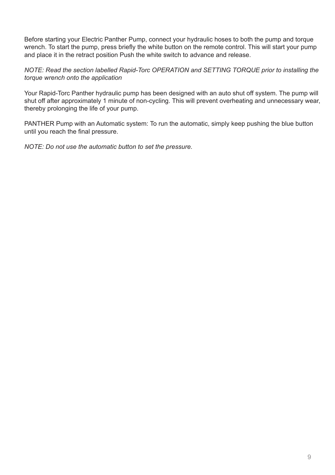Before starting your Electric Panther Pump, connect your hydraulic hoses to both the pump and torque wrench. To start the pump, press briefly the white button on the remote control. This will start your pump and place it in the retract position Push the white switch to advance and release.

*NOTE: Read the section labelled Rapid-Torc OPERATION and SETTING TORQUE prior to installing the torque wrench onto the application*

Your Rapid-Torc Panther hydraulic pump has been designed with an auto shut off system. The pump will shut off after approximately 1 minute of non-cycling. This will prevent overheating and unnecessary wear, thereby prolonging the life of your pump.

PANTHER Pump with an Automatic system: To run the automatic, simply keep pushing the blue button until you reach the final pressure.

*NOTE: Do not use the automatic button to set the pressure.*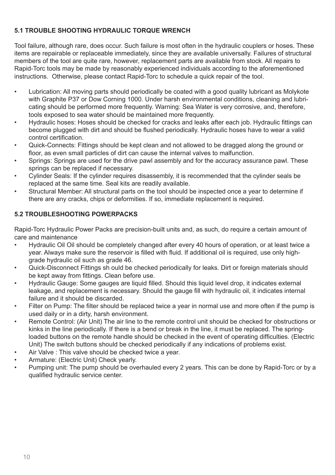# **5.1 TROUBLE SHOOTING HYDRAULIC TORQUE WRENCH**

Tool failure, although rare, does occur. Such failure is most often in the hydraulic couplers or hoses. These items are repairable or replaceable immediately, since they are available universally. Failures of structural members of the tool are quite rare, however, replacement parts are available from stock. All repairs to Rapid-Torc tools may be made by reasonably experienced individuals according to the aforementioned instructions. Otherwise, please contact Rapid-Torc to schedule a quick repair of the tool.

- • Lubrication: All moving parts should periodically be coated with a good quality lubricant as Molykote with Graphite P37 or Dow Corning 1000. Under harsh environmental conditions, cleaning and lubricating should be performed more frequently. Warning: Sea Water is very corrosive, and, therefore, tools exposed to sea water should be maintained more frequently.
- Hydraulic hoses: Hoses should be checked for cracks and leaks after each job. Hydraulic fittings can become plugged with dirt and should be flushed periodically. Hydraulic hoses have to wear a valid control certification.
- Quick-Connects: Fittings should be kept clean and not allowed to be dragged along the ground or floor, as even small particles of dirt can cause the internal valves to malfunction.
- Springs: Springs are used for the drive pawl assembly and for the accuracy assurance pawl. These springs can be replaced if necessary.
- Cylinder Seals: If the cylinder requires disassembly, it is recommended that the cylinder seals be replaced at the same time. Seal kits are readily available.
- Structural Member: All structural parts on the tool should be inspected once a year to determine if there are any cracks, chips or deformities. If so, immediate replacement is required.

# **5.2 TROUBLESHOOTING POWERPACKS**

Rapid-Torc Hydraulic Power Packs are precision-built units and, as such, do require a certain amount of care and maintenance

- • Hydraulic Oil Oil should be completely changed after every 40 hours of operation, or at least twice a year. Always make sure the reservoir is filled with fluid. If additional oil is required, use only highgrade hydraulic oil such as grade 46.
- • Quick-Disconnect Fittings sh ould be checked periodically for leaks. Dirt or foreign materials should be kept away from fittings. Clean before use.
- Hydraulic Gauge: Some gauges are liquid filled. Should this liquid level drop, it indicates external leakage, and replacement is necessary. Should the gauge fill with hydraulic oil, it indicates internal failure and it should be discarded.
- Filter on Pump: The filter should be replaced twice a year in normal use and more often if the pump is used daily or in a dirty, harsh environment.
- Remote Control: (Air Unit) The air line to the remote control unit should be checked for obstructions or kinks in the line periodically. If there is a bend or break in the line, it must be replaced. The springloaded buttons on the remote handle should be checked in the event of operating difficulties. (Electric Unit) The switch buttons should be checked periodically if any indications of problems exist.
- Air Valve : This valve should be checked twice a year.
- Armature: (Electric Unit) Check yearly.
- Pumping unit: The pump should be overhauled every 2 years. This can be done by Rapid-Torc or by a qualified hydraulic service center.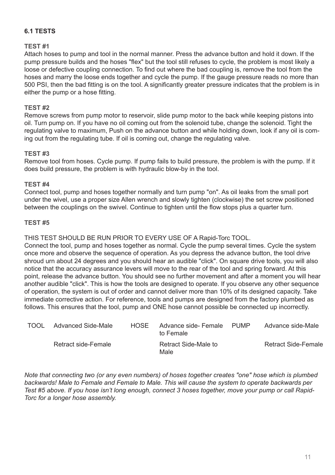# **6.1 TESTS**

# **TEST #1**

Attach hoses to pump and tool in the normal manner. Press the advance button and hold it down. If the pump pressure builds and the hoses "flex" but the tool still refuses to cycle, the problem is most likely a loose or defective coupling connection. To find out where the bad coupling is, remove the tool from the hoses and marry the loose ends together and cycle the pump. If the gauge pressure reads no more than 500 PSI, then the bad fitting is on the tool. A significantly greater pressure indicates that the problem is in either the pump or a hose fitting.

#### **TEST #2**

Remove screws from pump motor to reservoir, slide pump motor to the back while keeping pistons into oil. Turn pump on. If you have no oil coming out from the solenoid tube, change the solenoid. Tight the regulating valve to maximum, Push on the advance button and while holding down, look if any oil is coming out from the regulating tube. If oil is coming out, change the regulating valve.

#### **TEST #3**

Remove tool from hoses. Cycle pump. If pump fails to build pressure, the problem is with the pump. If it does build pressure, the problem is with hydraulic blow-by in the tool.

#### **TEST #4**

Connect tool, pump and hoses together normally and turn pump "on". As oil leaks from the small port under the wivel, use a proper size Allen wrench and slowly tighten (clockwise) the set screw positioned between the couplings on the swivel. Continue to tighten until the flow stops plus a quarter turn.

#### **TEST #5**

THIS TEST SHOULD BE RUN PRIOR TO EVERY USE OF A Rapid-Torc TOOL.

Connect the tool, pump and hoses together as normal. Cycle the pump several times. Cycle the system once more and observe the sequence of operation. As you depress the advance button, the tool drive shroud urn about 24 degrees and you should hear an audible "click". On square drive tools, you will also notice that the accuracy assurance levers will move to the rear of the tool and spring forward. At this point, release the advance button. You should see no further movement and after a moment you will hear another audible "click". This is how the tools are designed to operate. If you observe any other sequence of operation, the system is out of order and cannot deliver more than 10% of its designed capacity. Take immediate corrective action. For reference, tools and pumps are designed from the factory plumbed as follows. This ensures that the tool, pump and ONE hose cannot possible be connected up incorrectly.

| TOOL | Advanced Side-Male  | HOSE. | Advance side- Female<br>to Female | PUMP | Advance side-Male   |
|------|---------------------|-------|-----------------------------------|------|---------------------|
|      | Retract side-Female |       | Retract Side-Male to<br>Male      |      | Retract Side-Female |

*Note that connecting two (or any even numbers) of hoses together creates "one" hose which is plumbed backwards! Male to Female and Female to Male. This will cause the system to operate backwards per Test #5 above. If you hose isn't long enough, connect 3 hoses together, move your pump or call Rapid-Torc for a longer hose assembly.*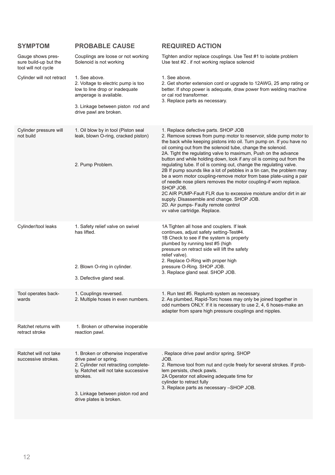| SYMPTOM                                                           | <b>PROBABLE CAUSE</b>                                                                                                                                                                                                   | <b>REQUIRED ACTION</b>                                                                                                                                                                                                                                                                                                                                                                                                                                                                                                                                                                                                                                                                                                                                                                                                                                                                           |
|-------------------------------------------------------------------|-------------------------------------------------------------------------------------------------------------------------------------------------------------------------------------------------------------------------|--------------------------------------------------------------------------------------------------------------------------------------------------------------------------------------------------------------------------------------------------------------------------------------------------------------------------------------------------------------------------------------------------------------------------------------------------------------------------------------------------------------------------------------------------------------------------------------------------------------------------------------------------------------------------------------------------------------------------------------------------------------------------------------------------------------------------------------------------------------------------------------------------|
| Gauge shows pres-<br>sure build-up but the<br>tool will not cycle | Couplings are loose or not working<br>Solenoid is not working                                                                                                                                                           | Tighten and/or replace couplings. Use Test #1 to isolate problem<br>Use test #2 . if not working replace solenoid                                                                                                                                                                                                                                                                                                                                                                                                                                                                                                                                                                                                                                                                                                                                                                                |
| Cylinder will not retract                                         | 1. See above.<br>2. Voltage to electric pump is too<br>low to line drop or inadequate<br>amperage is available.                                                                                                         | 1. See above.<br>2. Get shorter extension cord or upgrade to 12AWG, 25 amp rating or<br>better. If shop power is adequate, draw power from welding machine<br>or cal rod transformer.<br>3. Replace parts as necessary.                                                                                                                                                                                                                                                                                                                                                                                                                                                                                                                                                                                                                                                                          |
|                                                                   | 3. Linkage between piston rod and<br>drive pawl are broken.                                                                                                                                                             |                                                                                                                                                                                                                                                                                                                                                                                                                                                                                                                                                                                                                                                                                                                                                                                                                                                                                                  |
| Cylinder pressure will<br>not build                               | 1. Oil blow by in tool (Piston seal<br>leak, blown O-ring, cracked piston)<br>2. Pump Problem.                                                                                                                          | 1. Replace defective parts. SHOP JOB<br>2. Remove screws from pump motor to reservoir, slide pump motor to<br>the back while keeping pistons into oil. Turn pump on. If you have no<br>oil coming out from the solenoid tube, change the solenoid.<br>2A. Tight the regulating valve to maximum, Push on the advance<br>button and while holding down, look if any oil is coming out from the<br>regulating tube. If oil is coming out, change the regulating valve.<br>2B If pump sounds like a lot of pebbles in a tin can, the problem may<br>be a worn motor coupling-remove motor from base plate-using a pair<br>of needle nose pliers removes the motor coupling-if worn replace.<br>SHOP JOB.<br>2C AIR PUMP-Fault FLR due to excessive moisture and/or dirt in air<br>supply. Disassemble and change. SHOP JOB.<br>2D. Air pumps- Faulty remote control<br>vv valve cartridge. Replace. |
| Cylinder/tool leaks                                               | 1. Safety relief valve on swivel<br>has lifted.<br>2. Blown O-ring in cylinder.<br>3. Defective gland seal.                                                                                                             | 1A Tighten all hose and couplers. If leak<br>continues, adjust safety setting-Test#4.<br>1B Check to see if the system is properly<br>plumbed by running test #5 (high<br>pressure on retract side will lift the safety<br>relief valve).<br>2. Replace O-Ring with proper high<br>pressure O-Ring. SHOP JOB.<br>3. Replace gland seal. SHOP JOB.                                                                                                                                                                                                                                                                                                                                                                                                                                                                                                                                                |
| Tool operates back-<br>wards                                      | 1. Couplings reversed.<br>2. Multiple hoses in even numbers.                                                                                                                                                            | 1. Run test #5. Replumb system as necessary.<br>2. As plumbed, Rapid-Torc hoses may only be joined together in<br>odd numbers ONLY. If it is necessary to use 2, 4, 6 hoses-make an<br>adapter from spare high pressure couplings and nipples.                                                                                                                                                                                                                                                                                                                                                                                                                                                                                                                                                                                                                                                   |
| Ratchet returns with<br>retract stroke                            | 1. Broken or otherwise inoperable<br>reaction pawl.                                                                                                                                                                     |                                                                                                                                                                                                                                                                                                                                                                                                                                                                                                                                                                                                                                                                                                                                                                                                                                                                                                  |
| Ratchet will not take<br>successive strokes.                      | 1. Broken or otherwise inoperative<br>drive pawl or spring.<br>2. Cylinder not retracting complete-<br>lv. Ratchet will not take successive<br>strokes.<br>3. Linkage between piston rod and<br>drive plates is broken. | . Replace drive pawl and/or spring. SHOP<br>JOB.<br>2. Remove tool from nut and cycle freely for several strokes. If prob-<br>lem persists, check pawls.<br>2A Operator not allowing adequate time for<br>cylinder to retract fully<br>3. Replace parts as necessary -SHOP JOB.                                                                                                                                                                                                                                                                                                                                                                                                                                                                                                                                                                                                                  |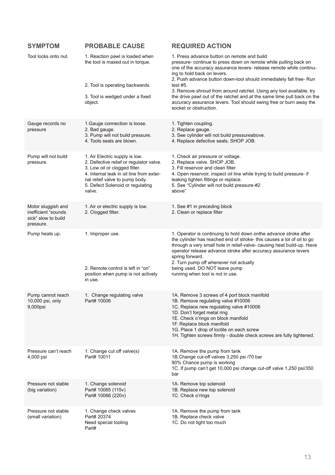| <b>SYMPTOM</b>                                                                | <b>PROBABLE CAUSE</b>                                                                                                                                                                                                                  | <b>REQUIRED ACTION</b>                                                                                                                                                                                                                                                                                                                                                                                                     |
|-------------------------------------------------------------------------------|----------------------------------------------------------------------------------------------------------------------------------------------------------------------------------------------------------------------------------------|----------------------------------------------------------------------------------------------------------------------------------------------------------------------------------------------------------------------------------------------------------------------------------------------------------------------------------------------------------------------------------------------------------------------------|
| Tool locks onto nut.                                                          | 1. Reaction pawl is loaded when<br>the tool is maxed out in torque.<br>2. Tool is operating backwards.                                                                                                                                 | 1. Press advance button on remote and build<br>pressure- continue to press down on remote while pulling back on<br>one of the accuracy assurance levers- release remote while continu-<br>ing to hold back on levers.<br>2. Push advance button down-tool should immediately fall free- Run<br>test $#5.$<br>3. Remove shroud from around ratchet. Using any tool available, try                                           |
|                                                                               | 3. Tool is wedged under a fixed<br>object.                                                                                                                                                                                             | the drive pawl out of the ratchet and at the same time pull back on the<br>accuracy assurance levers. Tool should swing free or burn away the<br>socket or obstruction.                                                                                                                                                                                                                                                    |
| Gauge records no<br>pressure                                                  | 1. Gauge connection is loose.<br>2. Bad gauge.<br>3. Pump will not build pressure.<br>4. Tools seals are blown.                                                                                                                        | 1. Tighten coupling.<br>2. Replace gauge.<br>3. See cylinder will not build pressureabove.<br>4. Replace defective seals. SHOP JOB.                                                                                                                                                                                                                                                                                        |
| Pump will not build<br>pressure.                                              | 1. Air Electric supply is low.<br>2. Defective relief or regulator valve.<br>3. Low oil or clogged filter.<br>4. Internal leak in oil line from exter-<br>nal relief valve to pump body.<br>5. Defect Solenoid or regulating<br>valve. | 1. Check air pressure or voltage.<br>2. Replace valve. SHOP JOB.<br>3. Fill reservoir and clean filter.<br>4. Open reservoir, inspect oil line while trying to build pressure- if<br>leaking tighten fittings or replace.<br>5. See "Cylinder will not build pressure-#2<br>above"                                                                                                                                         |
| Motor sluggish and<br>inefficient "sounds<br>sick" slow to build<br>pressure. | 1. Air or electric supply is low.<br>2. Clogged filter.                                                                                                                                                                                | 1. See #1 in preceding block<br>2. Clean or replace filter                                                                                                                                                                                                                                                                                                                                                                 |
| Pump heats up.                                                                | 1. Improper use.<br>2. Remote control is left in "on"<br>position when pump is not actively<br>in use.                                                                                                                                 | 1. Operator is continuing to hold down onthe advance stroke after<br>the cylinder has reached end of stroke- this causes a lot of oil to go<br>through a very small hole in relief-valve- causing heat build-up. Have<br>operator release advance stroke after accuracy assurance levers<br>spring forward.<br>2. Turn pump off whenever not actually<br>being used. DO NOT leave pump<br>running when tool is not in use. |
| Pump cannot reach<br>10,000 psi, only<br>9,000psi                             | 1. Change regulating valve<br>Part# 10006                                                                                                                                                                                              | 1A. Remove 3 screws of 4 port block manifold<br>1B. Remove regulating valve #10006<br>1C. Replace new regulating valve #10006<br>1D. Don't forget metal ring<br>1E. Check o'rings on block manifold<br>1F. Replace block manifold<br>1G. Place 1 drop of loctite on each screw<br>1H. Tighten screws firmly - double check screws are fully tightened.                                                                     |
| Pressure can't reach<br>4,000 psi                                             | 1. Change cut off valve(s)<br>Part# 10011                                                                                                                                                                                              | 1A. Remove the pump from tank<br>1B.Change cut-off valves 3,250 psi /70 bar<br>90% Chance pump is working<br>1C. If pump can't get 10,000 psi change cut-off valve 1,250 psi/350<br>bar                                                                                                                                                                                                                                    |
| Pressure not stable<br>(big variation)                                        | 1. Change solenoid<br>Part# 10065 (115v)<br>Part# 10066 (220v)                                                                                                                                                                         | 1A. Remove top solenoid<br>1B. Replace new top solenoid<br>1C. Check o'rings                                                                                                                                                                                                                                                                                                                                               |
| Pressure not stable<br>(small variation)                                      | 1. Change check valves<br>Part# 20374<br>Need special tooling<br>Part#                                                                                                                                                                 | 1A. Remove the pump from tank<br>1B. Replace check valve<br>1C. Do not tight too much                                                                                                                                                                                                                                                                                                                                      |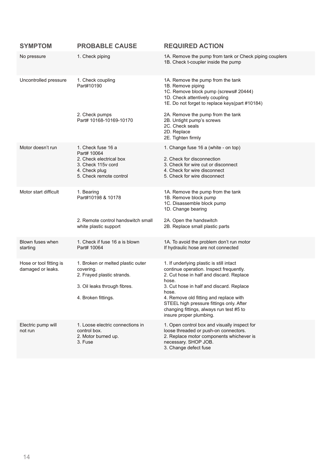| <b>SYMPTOM</b>                               | <b>PROBABLE CAUSE</b>                                                                                                               | <b>REQUIRED ACTION</b>                                                                                                                                                                                                                                                                                                                                     |
|----------------------------------------------|-------------------------------------------------------------------------------------------------------------------------------------|------------------------------------------------------------------------------------------------------------------------------------------------------------------------------------------------------------------------------------------------------------------------------------------------------------------------------------------------------------|
| No pressure                                  | 1. Check piping                                                                                                                     | 1A. Remove the pump from tank or Check piping couplers<br>1B. Check t-coupler inside the pump                                                                                                                                                                                                                                                              |
| Uncontrolled pressure                        | 1. Check coupling<br>Part#10190                                                                                                     | 1A. Remove the pump from the tank<br>1B. Remove piping<br>1C. Remove block pump (screws# 20444)<br>1D. Check attentively coupling<br>1E. Do not forget to replace keys(part #10184)                                                                                                                                                                        |
|                                              | 2. Check pumps<br>Part# 10168-10169-10170                                                                                           | 2A. Remove the pump from the tank<br>2B. Untight pump's screws<br>2C. Check seals<br>2D. Replace<br>2E. Tighten firmly                                                                                                                                                                                                                                     |
| Motor doesn't run                            | 1. Check fuse 16 a<br>Part# 10064<br>2. Check electrical box<br>3. Check 115y cord<br>4. Check plug<br>5. Check remote control      | 1. Change fuse 16 a (white - on top)<br>2. Check for disconnection<br>3. Check for wire cut or disconnect<br>4. Check for wire disconnect<br>5. Check for wire disconnect                                                                                                                                                                                  |
| Motor start difficult                        | 1. Bearing<br>Part#10198 & 10178                                                                                                    | 1A. Remove the pump from the tank<br>1B. Remove block pump<br>1C. Disassemble block pump<br>1D. Change bearing                                                                                                                                                                                                                                             |
|                                              | 2. Remote control handswitch small<br>white plastic support                                                                         | 2A. Open the handswitch<br>2B. Replace small plastic parts                                                                                                                                                                                                                                                                                                 |
| Blown fuses when<br>starting                 | 1. Check if fuse 16 a is blown<br>Part# 10064                                                                                       | 1A. To avoid the problem don't run motor<br>If hydraulic hose are not connected                                                                                                                                                                                                                                                                            |
| Hose or tool fitting is<br>damaged or leaks. | 1. Broken or melted plastic outer<br>covering.<br>2. Frayed plastic strands.<br>3. Oil leaks through fibres.<br>4. Broken fittings. | 1. If underlying plastic is still intact<br>continue operation. Inspect frequently.<br>2. Cut hose in half and discard. Replace<br>hose.<br>3. Cut hose in half and discard. Replace<br>hose.<br>4. Remove old fitting and replace with<br>STEEL high pressure fittings only. After<br>changing fittings, always run test #5 to<br>insure proper plumbing. |
| Electric pump will<br>not run                | 1. Loose electric connections in<br>control box.<br>2. Motor burned up.<br>3. Fuse                                                  | 1. Open control box and visually inspect for<br>loose threaded or push-on connectors.<br>2. Replace motor components whichever is<br>necessary. SHOP JOB.<br>3. Change defect fuse                                                                                                                                                                         |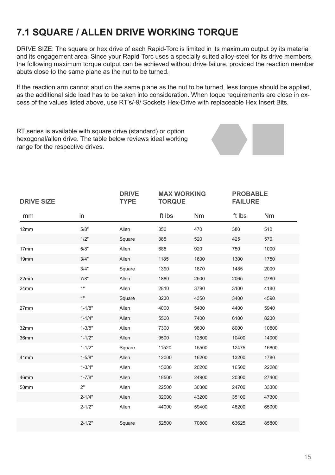# **7.1 SQUARE / ALLEN DRIVE WORKING TORQUE**

DRIVE SIZE: The square or hex drive of each Rapid-Torc is limited in its maximum output by its material and its engagement area. Since your Rapid-Torc uses a specially suited alloy-steel for its drive members, the following maximum torque output can be achieved without drive failure, provided the reaction member abuts close to the same plane as the nut to be turned.

If the reaction arm cannot abut on the same plane as the nut to be turned, less torque should be applied, as the additional side load has to be taken into consideration. When toque requirements are close in excess of the values listed above, use RT's/-9/ Sockets Hex-Drive with replaceable Hex Insert Bits.

RT series is available with square drive (standard) or option hexogonal/allen drive. The table below reviews ideal working range for the respective drives.

| <b>DRIVE SIZE</b> |            | <b>DRIVE</b><br><b>TYPE</b> | <b>MAX WORKING</b><br><b>TORQUE</b> |       |        | <b>PROBABLE</b><br><b>FAILURE</b> |  |
|-------------------|------------|-----------------------------|-------------------------------------|-------|--------|-----------------------------------|--|
| mm                | in         |                             | ft Ibs                              | Nm    | ft Ibs | N <sub>m</sub>                    |  |
| 12mm              | 5/8"       | Allen                       | 350                                 | 470   | 380    | 510                               |  |
|                   | 1/2"       | Square                      | 385                                 | 520   | 425    | 570                               |  |
| 17mm              | 5/8"       | Allen                       | 685                                 | 920   | 750    | 1000                              |  |
| 19mm              | 3/4"       | Allen                       | 1185                                | 1600  | 1300   | 1750                              |  |
|                   | 3/4"       | Square                      | 1390                                | 1870  | 1485   | 2000                              |  |
| 22mm              | 7/8"       | Allen                       | 1880                                | 2500  | 2065   | 2780                              |  |
| 24mm              | 1"         | Allen                       | 2810                                | 3790  | 3100   | 4180                              |  |
|                   | 1"         | Square                      | 3230                                | 4350  | 3400   | 4590                              |  |
| 27mm              | $1 - 1/8"$ | Allen                       | 4000                                | 5400  | 4400   | 5940                              |  |
|                   | $1 - 1/4"$ | Allen                       | 5500                                | 7400  | 6100   | 8230                              |  |
| 32mm              | $1 - 3/8"$ | Allen                       | 7300                                | 9800  | 8000   | 10800                             |  |
| 36mm              | $1 - 1/2"$ | Allen                       | 9500                                | 12800 | 10400  | 14000                             |  |
|                   | $1 - 1/2"$ | Square                      | 11520                               | 15500 | 12475  | 16800                             |  |
| 41mm              | $1 - 5/8"$ | Allen                       | 12000                               | 16200 | 13200  | 1780                              |  |
|                   | $1 - 3/4"$ | Allen                       | 15000                               | 20200 | 16500  | 22200                             |  |
| 46mm              | $1 - 7/8"$ | Allen                       | 18500                               | 24900 | 20300  | 27400                             |  |
| 50mm              | 2"         | Allen                       | 22500                               | 30300 | 24700  | 33300                             |  |
|                   | $2 - 1/4"$ | Allen                       | 32000                               | 43200 | 35100  | 47300                             |  |
|                   | $2 - 1/2"$ | Allen                       | 44000                               | 59400 | 48200  | 65000                             |  |
|                   | $2 - 1/2"$ | Square                      | 52500                               | 70800 | 63625  | 85800                             |  |